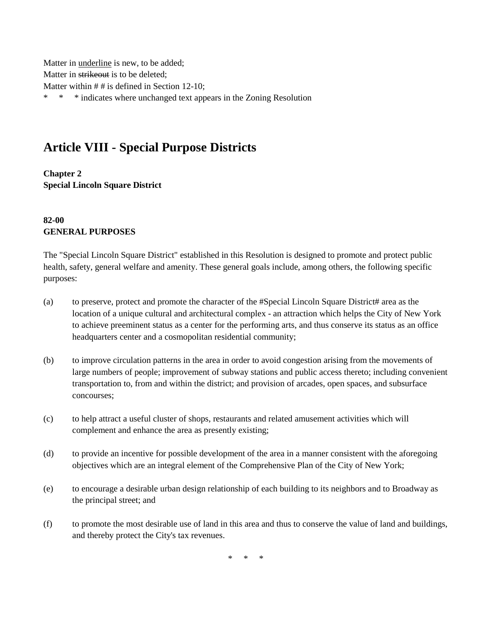Matter in underline is new, to be added; Matter in strikeout is to be deleted; Matter within # # is defined in Section 12-10; \* \* \* indicates where unchanged text appears in the Zoning Resolution

# **Article VIII - Special Purpose Districts**

**Chapter 2 Special Lincoln Square District**

### **82-00 GENERAL PURPOSES**

The "Special Lincoln Square District" established in this Resolution is designed to promote and protect public health, safety, general welfare and amenity. These general goals include, among others, the following specific purposes:

- (a) to preserve, protect and promote the character of the #Special Lincoln Square District# area as the location of a unique cultural and architectural complex - an attraction which helps the City of New York to achieve preeminent status as a center for the performing arts, and thus conserve its status as an office headquarters center and a cosmopolitan residential community;
- (b) to improve circulation patterns in the area in order to avoid congestion arising from the movements of large numbers of people; improvement of subway stations and public access thereto; including convenient transportation to, from and within the district; and provision of arcades, open spaces, and subsurface concourses;
- (c) to help attract a useful cluster of shops, restaurants and related amusement activities which will complement and enhance the area as presently existing;
- (d) to provide an incentive for possible development of the area in a manner consistent with the aforegoing objectives which are an integral element of the Comprehensive Plan of the City of New York;
- (e) to encourage a desirable urban design relationship of each building to its neighbors and to Broadway as the principal street; and
- (f) to promote the most desirable use of land in this area and thus to conserve the value of land and buildings, and thereby protect the City's tax revenues.

\* \* \*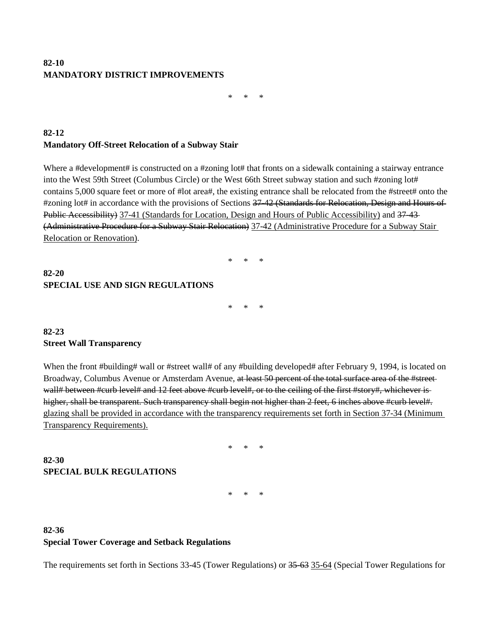### **82-10 MANDATORY DISTRICT IMPROVEMENTS**

\* \* \*

#### **82-12 Mandatory Off-Street Relocation of a Subway Stair**

Where a #development# is constructed on a #zoning lot# that fronts on a sidewalk containing a stairway entrance into the West 59th Street (Columbus Circle) or the West 66th Street subway station and such #zoning lot# contains 5,000 square feet or more of #lot area#, the existing entrance shall be relocated from the #street# onto the #zoning lot# in accordance with the provisions of Sections 37-42 (Standards for Relocation, Design and Hours of Public Accessibility) 37-41 (Standards for Location, Design and Hours of Public Accessibility) and 37-43-(Administrative Procedure for a Subway Stair Relocation) 37-42 (Administrative Procedure for a Subway Stair Relocation or Renovation).

# **82-20 SPECIAL USE AND SIGN REGULATIONS**

\* \* \*

\* \* \*

### **82-23 Street Wall Transparency**

When the front #building# wall or #street wall# of any #building developed# after February 9, 1994, is located on Broadway, Columbus Avenue or Amsterdam Avenue, at least 50 percent of the total surface area of the #streetwall# between #curb level# and 12 feet above #curb level#, or to the ceiling of the first #story#, whichever is higher, shall be transparent. Such transparency shall begin not higher than 2 feet, 6 inches above #curb level#. glazing shall be provided in accordance with the transparency requirements set forth in Section 37-34 (Minimum Transparency Requirements).

\* \* \*

#### **82-30 SPECIAL BULK REGULATIONS**

\* \* \*

## **82-36 Special Tower Coverage and Setback Regulations**

The requirements set forth in Sections 33-45 (Tower Regulations) or 35-63 35-64 (Special Tower Regulations for